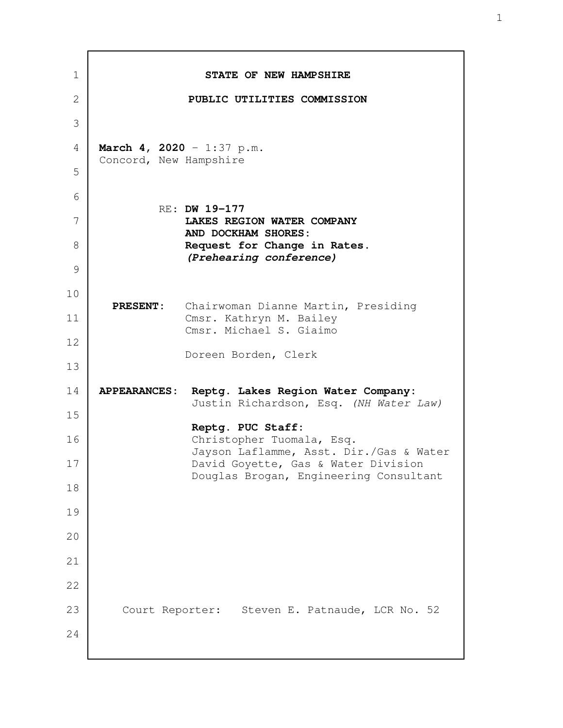**STATE OF NEW HAMPSHIRE PUBLIC UTILITIES COMMISSION March 4, 2020** - 1:37 p.m. Concord, New Hampshire RE: **DW 19-177 LAKES REGION WATER COMPANY AND DOCKHAM SHORES: Request for Change in Rates.** *(Prehearing conference)*  **PRESENT:** Chairwoman Dianne Martin, Presiding Cmsr. Kathryn M. Bailey Cmsr. Michael S. Giaimo Doreen Borden, Clerk **APPEARANCES: Reptg. Lakes Region Water Company:** Justin Richardson, Esq. (NH Water Law) **Reptg. PUC Staff:** Christopher Tuomala, Esq. Jayson Laflamme, Asst. Dir./Gas & Water David Goyette, Gas & Water Division Douglas Brogan, Engineering Consultant Court Reporter: Steven E. Patnaude, LCR No. 52 1 2 3 4 5 6 7 8 9 10 11 12 13 14 15 16 17 18 19 20 21 22 23 24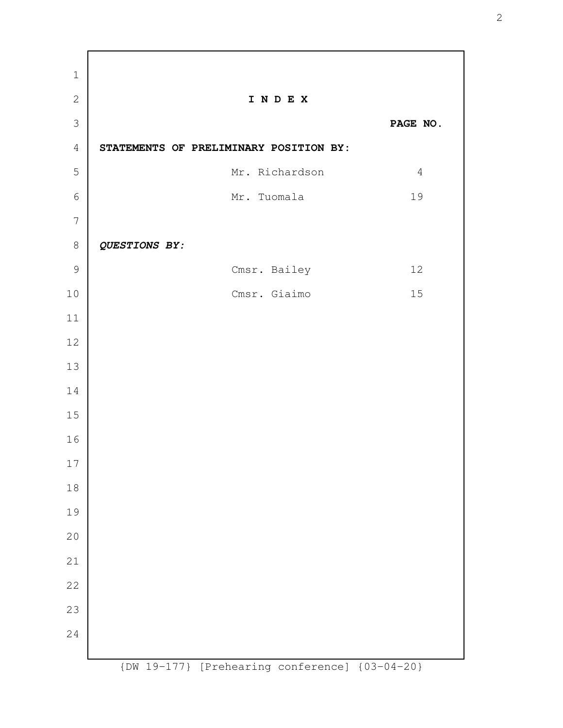**I N D E X PAGE NO. STATEMENTS OF PRELIMINARY POSITION BY:**  Mr. Richardson 4 Mr. Tuomala 19 *QUESTIONS BY:* Cmsr. Bailey 12 Cmsr. Giaimo 15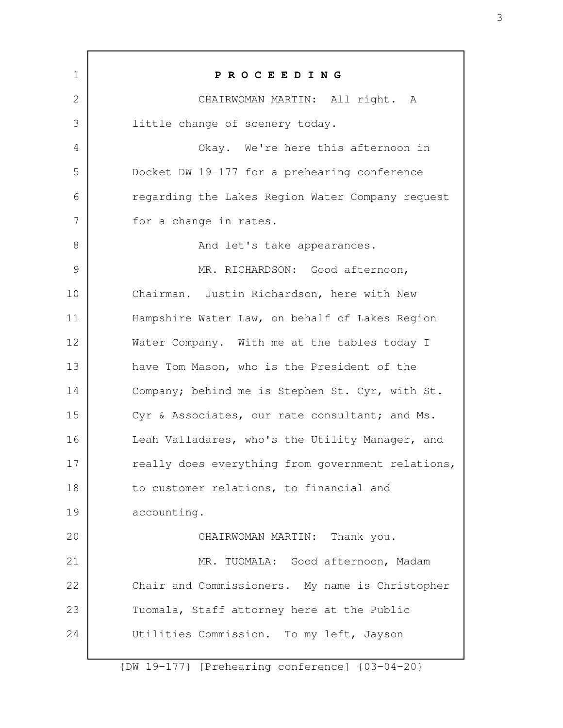| $\mathbf 1$ | PROCEEDING                                        |
|-------------|---------------------------------------------------|
| 2           | CHAIRWOMAN MARTIN: All right. A                   |
| 3           | little change of scenery today.                   |
| 4           | Okay. We're here this afternoon in                |
| 5           | Docket DW 19-177 for a prehearing conference      |
| 6           | regarding the Lakes Region Water Company request  |
| 7           | for a change in rates.                            |
| 8           | And let's take appearances.                       |
| 9           | MR. RICHARDSON: Good afternoon,                   |
| 10          | Chairman. Justin Richardson, here with New        |
| 11          | Hampshire Water Law, on behalf of Lakes Region    |
| 12          | Water Company. With me at the tables today I      |
| 13          | have Tom Mason, who is the President of the       |
| 14          | Company; behind me is Stephen St. Cyr, with St.   |
| 15          | Cyr & Associates, our rate consultant; and Ms.    |
| 16          | Leah Valladares, who's the Utility Manager, and   |
| 17          | really does everything from government relations, |
| 18          | to customer relations, to financial and           |
| 19          | accounting.                                       |
| 20          | CHAIRWOMAN MARTIN: Thank you.                     |
| 21          | MR. TUOMALA: Good afternoon, Madam                |
| 22          | Chair and Commissioners. My name is Christopher   |
| 23          | Tuomala, Staff attorney here at the Public        |
| 24          | Utilities Commission. To my left, Jayson          |
|             |                                                   |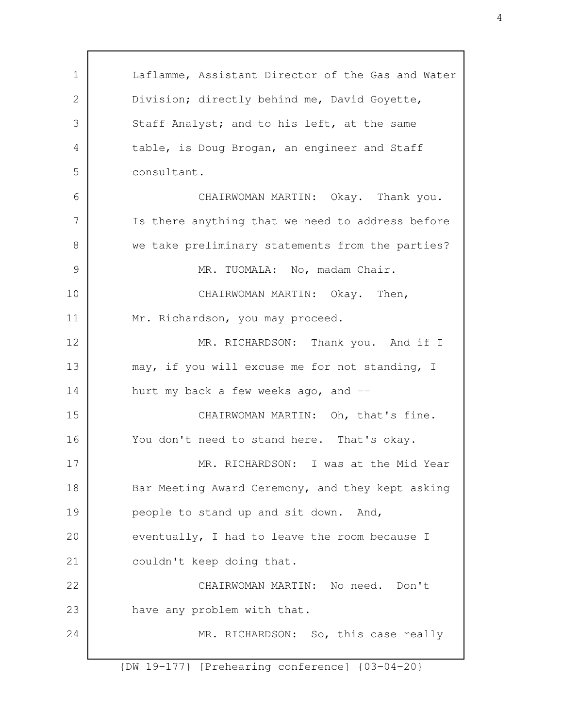Laflamme, Assistant Director of the Gas and Water Division; directly behind me, David Goyette, Staff Analyst; and to his left, at the same table, is Doug Brogan, an engineer and Staff consultant. CHAIRWOMAN MARTIN: Okay. Thank you. Is there anything that we need to address before we take preliminary statements from the parties? MR. TUOMALA: No, madam Chair. CHAIRWOMAN MARTIN: Okay. Then, Mr. Richardson, you may proceed. MR. RICHARDSON: Thank you. And if I may, if you will excuse me for not standing, I hurt my back a few weeks ago, and -- CHAIRWOMAN MARTIN: Oh, that's fine. You don't need to stand here. That's okay. MR. RICHARDSON: I was at the Mid Year Bar Meeting Award Ceremony, and they kept asking people to stand up and sit down. And, eventually, I had to leave the room because I couldn't keep doing that. CHAIRWOMAN MARTIN: No need. Don't have any problem with that. MR. RICHARDSON: So, this case really 1 2 3 4 5 6 7 8 9 10 11 12 13 14 15 16 17 18 19 20 21 22 23 24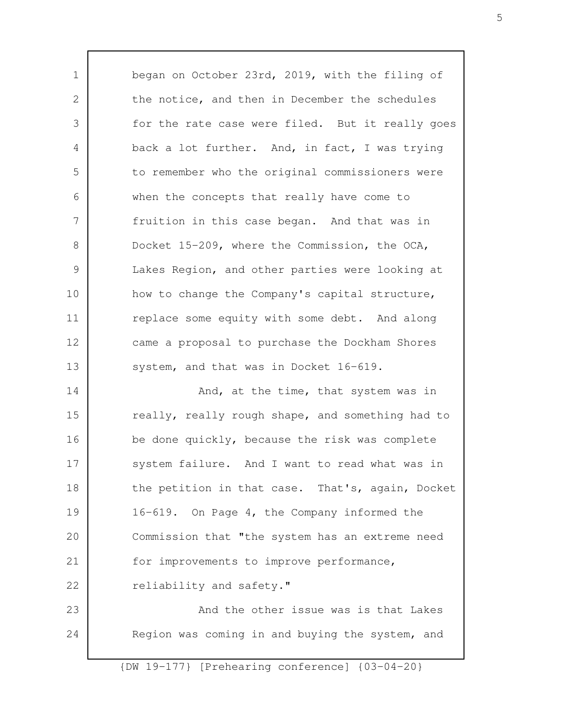began on October 23rd, 2019, with the filing of the notice, and then in December the schedules for the rate case were filed. But it really goes back a lot further. And, in fact, I was trying to remember who the original commissioners were when the concepts that really have come to fruition in this case began. And that was in Docket 15-209, where the Commission, the OCA, Lakes Region, and other parties were looking at how to change the Company's capital structure, replace some equity with some debt. And along came a proposal to purchase the Dockham Shores system, and that was in Docket 16-619. And, at the time, that system was in really, really rough shape, and something had to be done quickly, because the risk was complete system failure. And I want to read what was in the petition in that case. That's, again, Docket 16-619. On Page 4, the Company informed the Commission that "the system has an extreme need for improvements to improve performance, reliability and safety." And the other issue was is that Lakes Region was coming in and buying the system, and 1 2 3 4 5 6 7 8 9 10 11 12 13 14 15 16 17 18 19 20 21 22 23 24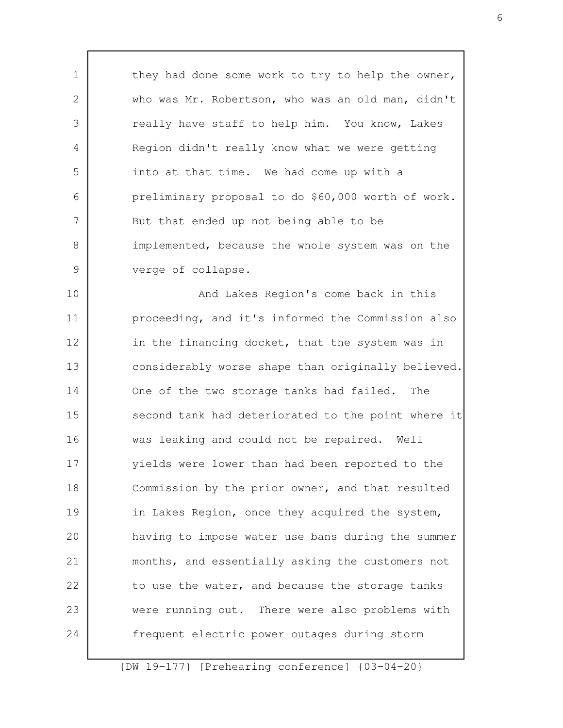they had done some work to try to help the owner, who was Mr. Robertson, who was an old man, didn't really have staff to help him. You know, Lakes Region didn't really know what we were getting into at that time. We had come up with a preliminary proposal to do \$60,000 worth of work. But that ended up not being able to be implemented, because the whole system was on the verge of collapse.

1

2

3

4

5

6

7

8

9

And Lakes Region's come back in this proceeding, and it's informed the Commission also in the financing docket, that the system was in considerably worse shape than originally believed. One of the two storage tanks had failed. The second tank had deteriorated to the point where it was leaking and could not be repaired. Well yields were lower than had been reported to the Commission by the prior owner, and that resulted in Lakes Region, once they acquired the system, having to impose water use bans during the summer months, and essentially asking the customers not to use the water, and because the storage tanks were running out. There were also problems with frequent electric power outages during storm 10 11 12 13 14 15 16 17 18 19 20 21 22 23 24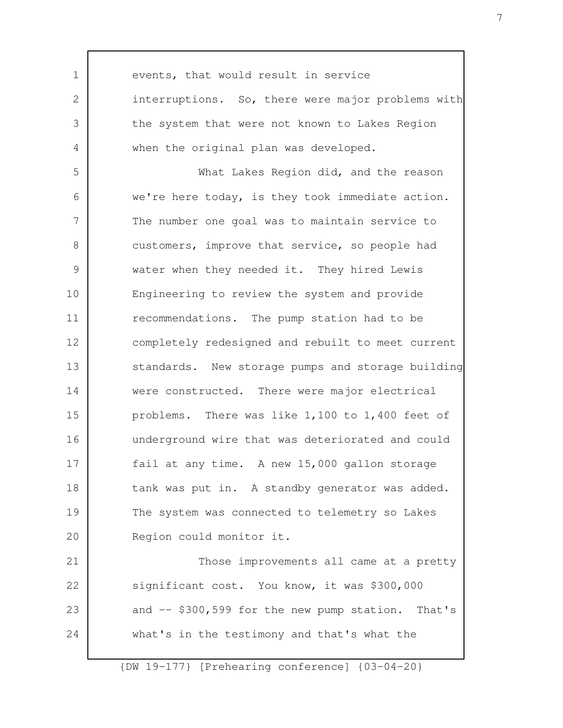events, that would result in service interruptions. So, there were major problems with the system that were not known to Lakes Region when the original plan was developed. What Lakes Region did, and the reason we're here today, is they took immediate action. The number one goal was to maintain service to customers, improve that service, so people had water when they needed it. They hired Lewis Engineering to review the system and provide recommendations. The pump station had to be completely redesigned and rebuilt to meet current standards. New storage pumps and storage building were constructed. There were major electrical problems. There was like 1,100 to 1,400 feet of underground wire that was deteriorated and could fail at any time. A new 15,000 gallon storage tank was put in. A standby generator was added. The system was connected to telemetry so Lakes Region could monitor it. Those improvements all came at a pretty significant cost. You know, it was \$300,000 and -- \$300,599 for the new pump station. That's what's in the testimony and that's what the 1 2 3 4 5 6 7 8 9 10 11 12 13 14 15 16 17 18 19 20 21 22 23 24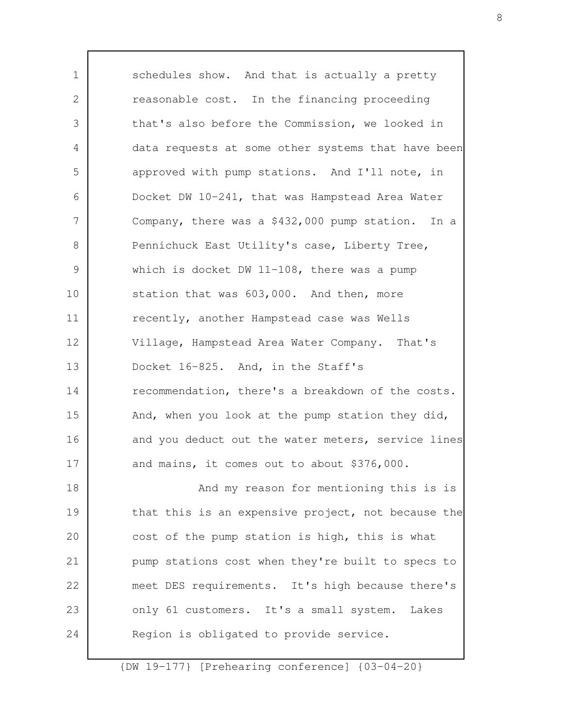schedules show. And that is actually a pretty reasonable cost. In the financing proceeding that's also before the Commission, we looked in data requests at some other systems that have been approved with pump stations. And I'll note, in Docket DW 10-241, that was Hampstead Area Water Company, there was a \$432,000 pump station. In a Pennichuck East Utility's case, Liberty Tree, which is docket DW 11-108, there was a pump station that was 603,000. And then, more recently, another Hampstead case was Wells Village, Hampstead Area Water Company. That's Docket 16-825. And, in the Staff's recommendation, there's a breakdown of the costs. And, when you look at the pump station they did, and you deduct out the water meters, service lines and mains, it comes out to about \$376,000. And my reason for mentioning this is is that this is an expensive project, not because the cost of the pump station is high, this is what pump stations cost when they're built to specs to meet DES requirements. It's high because there's only 61 customers. It's a small system. Lakes Region is obligated to provide service. 1 2 3 4 5 6 7 8 9 10 11 12 13 14 15 16 17 18 19 20 21 22 23 24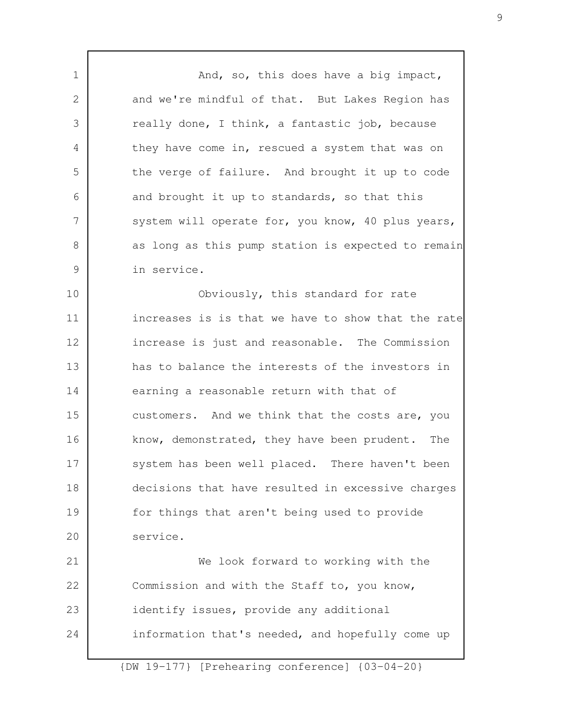And, so, this does have a big impact, and we're mindful of that. But Lakes Region has really done, I think, a fantastic job, because they have come in, rescued a system that was on the verge of failure. And brought it up to code and brought it up to standards, so that this system will operate for, you know, 40 plus years, as long as this pump station is expected to remain in service. Obviously, this standard for rate increases is is that we have to show that the rate increase is just and reasonable. The Commission has to balance the interests of the investors in earning a reasonable return with that of customers. And we think that the costs are, you know, demonstrated, they have been prudent. The system has been well placed. There haven't been decisions that have resulted in excessive charges for things that aren't being used to provide service. We look forward to working with the Commission and with the Staff to, you know, identify issues, provide any additional information that's needed, and hopefully come up 1 2 3 4 5 6 7 8 9 10 11 12 13 14 15 16 17 18 19 20 21 22 23 24

{DW 19-177} [Prehearing conference] {03-04-20}

9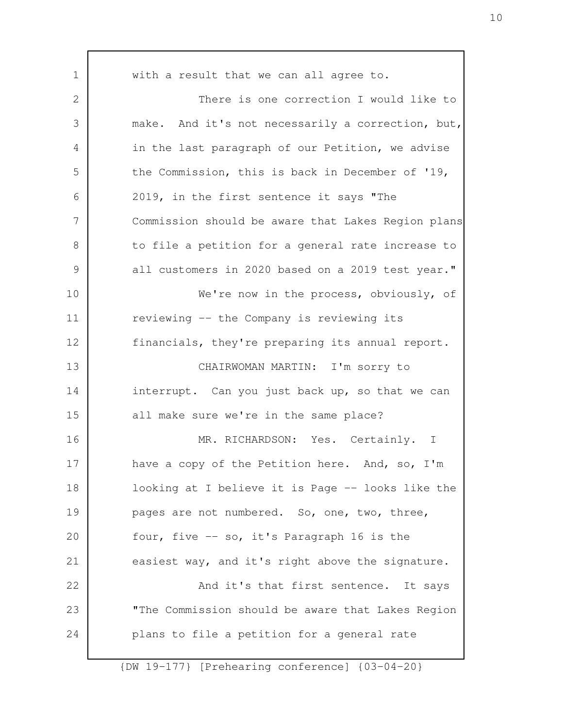with a result that we can all agree to. There is one correction I would like to make. And it's not necessarily a correction, but, in the last paragraph of our Petition, we advise the Commission, this is back in December of '19, 2019, in the first sentence it says "The Commission should be aware that Lakes Region plans to file a petition for a general rate increase to all customers in 2020 based on a 2019 test year." We're now in the process, obviously, of reviewing -- the Company is reviewing its financials, they're preparing its annual report. CHAIRWOMAN MARTIN: I'm sorry to interrupt. Can you just back up, so that we can all make sure we're in the same place? MR. RICHARDSON: Yes. Certainly. I have a copy of the Petition here. And, so, I'm looking at I believe it is Page -- looks like the pages are not numbered. So, one, two, three, four, five -- so, it's Paragraph 16 is the easiest way, and it's right above the signature. And it's that first sentence. It says "The Commission should be aware that Lakes Region plans to file a petition for a general rate 1 2 3 4 5 6 7 8 9 10 11 12 13 14 15 16 17 18 19 20 21 22 23 24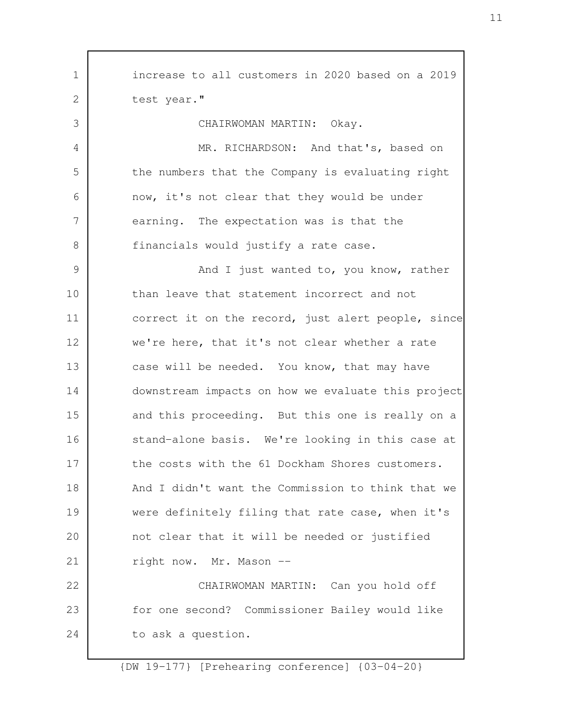increase to all customers in 2020 based on a 2019 test year." CHAIRWOMAN MARTIN: Okay. MR. RICHARDSON: And that's, based on the numbers that the Company is evaluating right now, it's not clear that they would be under earning. The expectation was is that the financials would justify a rate case. And I just wanted to, you know, rather than leave that statement incorrect and not correct it on the record, just alert people, since we're here, that it's not clear whether a rate case will be needed. You know, that may have downstream impacts on how we evaluate this project and this proceeding. But this one is really on a stand-alone basis. We're looking in this case at the costs with the 61 Dockham Shores customers. And I didn't want the Commission to think that we were definitely filing that rate case, when it's not clear that it will be needed or justified right now. Mr. Mason -- CHAIRWOMAN MARTIN: Can you hold off for one second? Commissioner Bailey would like to ask a question. 1 2 3 4 5 6 7 8 9 10 11 12 13 14 15 16 17 18 19 20 21 22 23 24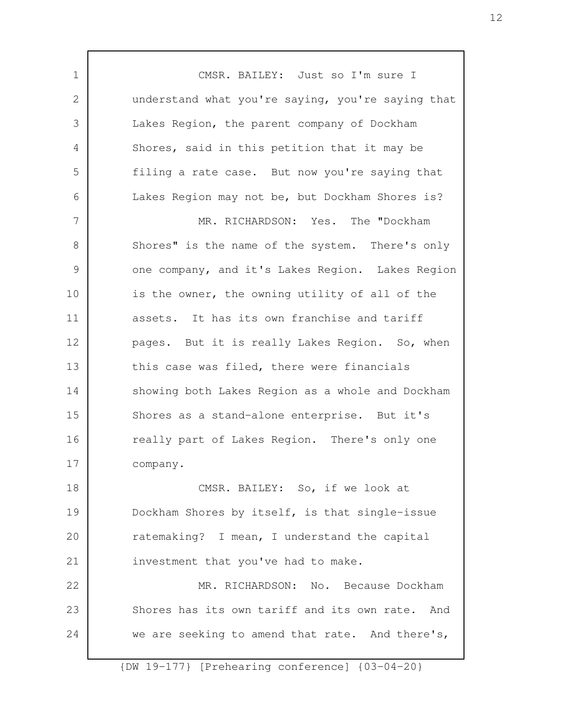CMSR. BAILEY: Just so I'm sure I understand what you're saying, you're saying that Lakes Region, the parent company of Dockham Shores, said in this petition that it may be filing a rate case. But now you're saying that Lakes Region may not be, but Dockham Shores is? MR. RICHARDSON: Yes. The "Dockham Shores" is the name of the system. There's only one company, and it's Lakes Region. Lakes Region is the owner, the owning utility of all of the assets. It has its own franchise and tariff pages. But it is really Lakes Region. So, when this case was filed, there were financials showing both Lakes Region as a whole and Dockham Shores as a stand-alone enterprise. But it's really part of Lakes Region. There's only one company. CMSR. BAILEY: So, if we look at Dockham Shores by itself, is that single-issue ratemaking? I mean, I understand the capital investment that you've had to make. MR. RICHARDSON: No. Because Dockham Shores has its own tariff and its own rate. And we are seeking to amend that rate. And there's, 1 2 3 4 5 6 7 8 9 10 11 12 13 14 15 16 17 18 19 20 21 22 23 24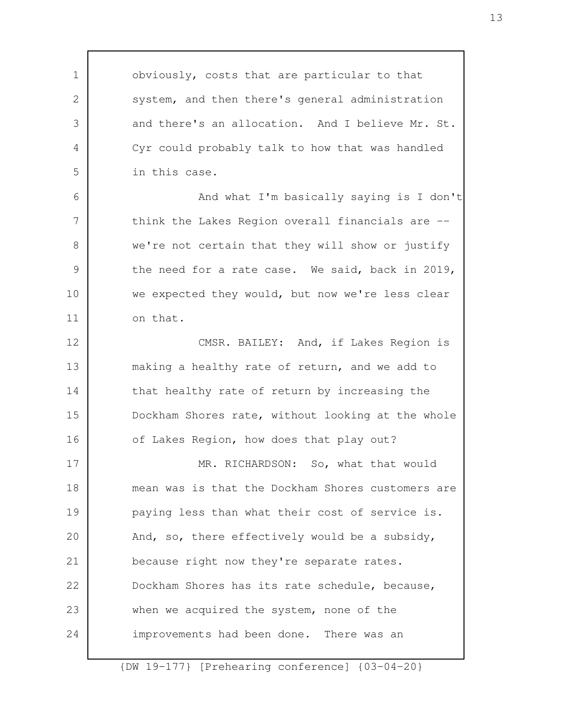obviously, costs that are particular to that system, and then there's general administration and there's an allocation. And I believe Mr. St. Cyr could probably talk to how that was handled in this case. And what I'm basically saying is I don't think the Lakes Region overall financials are - we're not certain that they will show or justify the need for a rate case. We said, back in 2019, we expected they would, but now we're less clear on that. CMSR. BAILEY: And, if Lakes Region is making a healthy rate of return, and we add to that healthy rate of return by increasing the Dockham Shores rate, without looking at the whole of Lakes Region, how does that play out? MR. RICHARDSON: So, what that would mean was is that the Dockham Shores customers are paying less than what their cost of service is. And, so, there effectively would be a subsidy, because right now they're separate rates. Dockham Shores has its rate schedule, because, when we acquired the system, none of the improvements had been done. There was an 1 2 3 4 5 6 7 8 9 10 11 12 13 14 15 16 17 18 19 20 21 22 23 24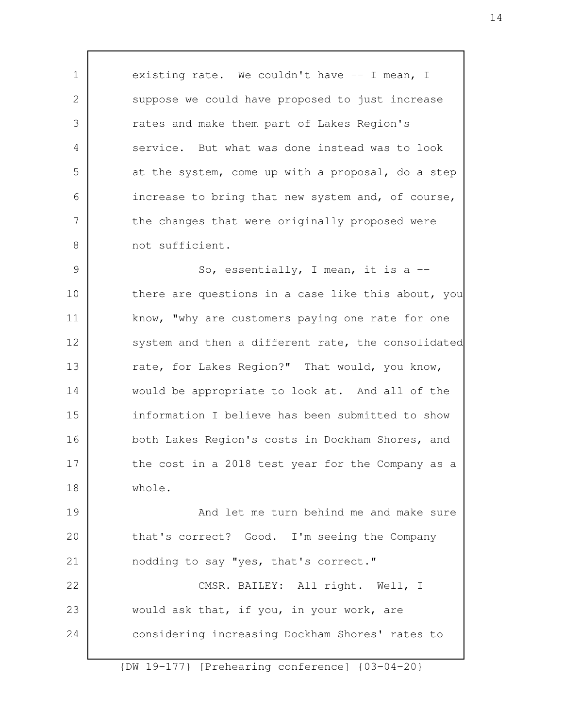existing rate. We couldn't have -- I mean, I suppose we could have proposed to just increase rates and make them part of Lakes Region's service. But what was done instead was to look at the system, come up with a proposal, do a step increase to bring that new system and, of course, the changes that were originally proposed were not sufficient.

1

2

3

4

5

6

7

8

24

So, essentially, I mean, it is a - there are questions in a case like this about, you know, "why are customers paying one rate for one system and then a different rate, the consolidated rate, for Lakes Region?" That would, you know, would be appropriate to look at. And all of the information I believe has been submitted to show both Lakes Region's costs in Dockham Shores, and the cost in a 2018 test year for the Company as a whole. 9 10 11 12 13 14 15 16 17 18

And let me turn behind me and make sure that's correct? Good. I'm seeing the Company nodding to say "yes, that's correct." CMSR. BAILEY: All right. Well, I would ask that, if you, in your work, are 19 20 21 22 23

{DW 19-177} [Prehearing conference] {03-04-20}

considering increasing Dockham Shores' rates to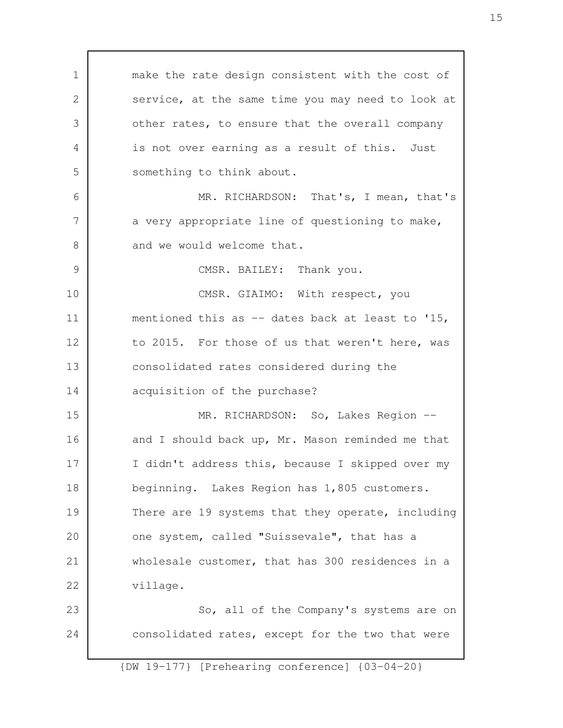make the rate design consistent with the cost of service, at the same time you may need to look at other rates, to ensure that the overall company is not over earning as a result of this. Just something to think about. MR. RICHARDSON: That's, I mean, that's a very appropriate line of questioning to make, and we would welcome that. CMSR. BAILEY: Thank you. CMSR. GIAIMO: With respect, you mentioned this as -- dates back at least to '15, to 2015. For those of us that weren't here, was consolidated rates considered during the acquisition of the purchase? MR. RICHARDSON: So, Lakes Region -and I should back up, Mr. Mason reminded me that I didn't address this, because I skipped over my beginning. Lakes Region has 1,805 customers. There are 19 systems that they operate, including one system, called "Suissevale", that has a wholesale customer, that has 300 residences in a village. So, all of the Company's systems are on consolidated rates, except for the two that were 1 2 3 4 5 6 7 8 9 10 11 12 13 14 15 16 17 18 19 20 21 22 23 24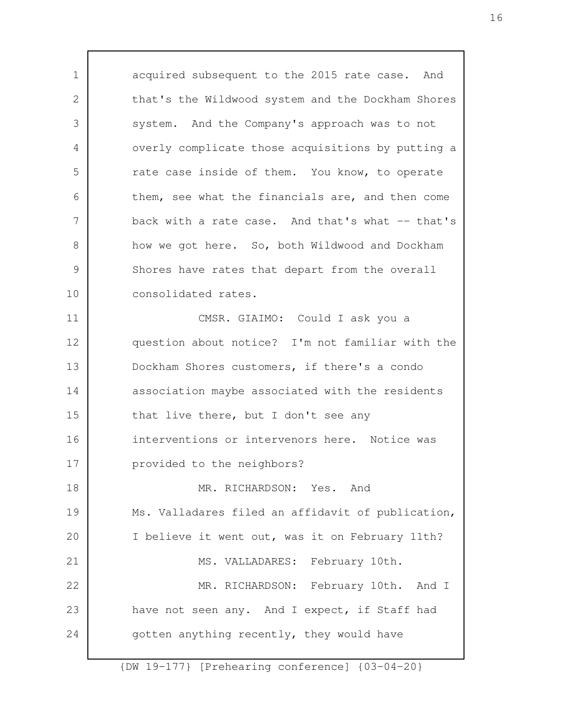acquired subsequent to the 2015 rate case. And that's the Wildwood system and the Dockham Shores system. And the Company's approach was to not overly complicate those acquisitions by putting a rate case inside of them. You know, to operate them, see what the financials are, and then come back with a rate case. And that's what -- that's how we got here. So, both Wildwood and Dockham Shores have rates that depart from the overall consolidated rates. CMSR. GIAIMO: Could I ask you a question about notice? I'm not familiar with the Dockham Shores customers, if there's a condo association maybe associated with the residents that live there, but I don't see any interventions or intervenors here. Notice was provided to the neighbors? MR. RICHARDSON: Yes. And Ms. Valladares filed an affidavit of publication, I believe it went out, was it on February 11th? MS. VALLADARES: February 10th. MR. RICHARDSON: February 10th. And I have not seen any. And I expect, if Staff had gotten anything recently, they would have 1 2 3 4 5 6 7 8 9 10 11 12 13 14 15 16 17 18 19 20 21 22 23 24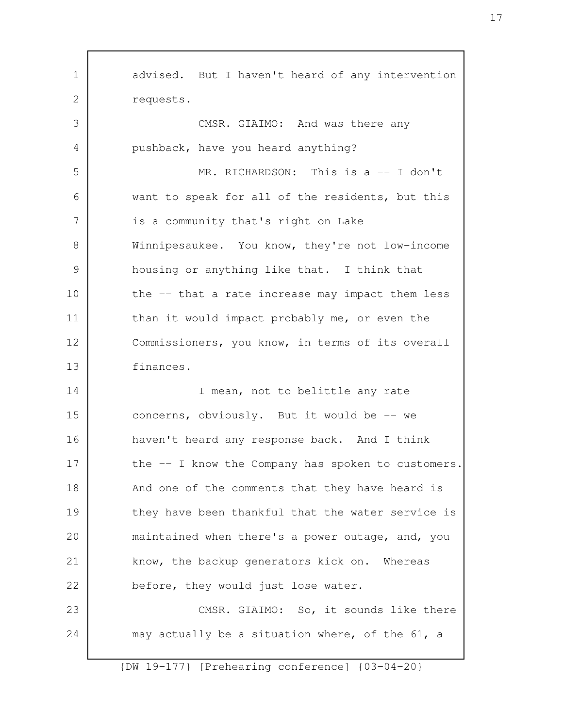advised. But I haven't heard of any intervention requests. CMSR. GIAIMO: And was there any pushback, have you heard anything? MR. RICHARDSON: This is a -- I don't want to speak for all of the residents, but this is a community that's right on Lake Winnipesaukee. You know, they're not low-income housing or anything like that. I think that the -- that a rate increase may impact them less than it would impact probably me, or even the Commissioners, you know, in terms of its overall finances. I mean, not to belittle any rate concerns, obviously. But it would be -- we haven't heard any response back. And I think the -- I know the Company has spoken to customers. And one of the comments that they have heard is they have been thankful that the water service is maintained when there's a power outage, and, you know, the backup generators kick on. Whereas before, they would just lose water. CMSR. GIAIMO: So, it sounds like there may actually be a situation where, of the 61, a 1 2 3 4 5 6 7 8 9 10 11 12 13 14 15 16 17 18 19 20 21 22 23 24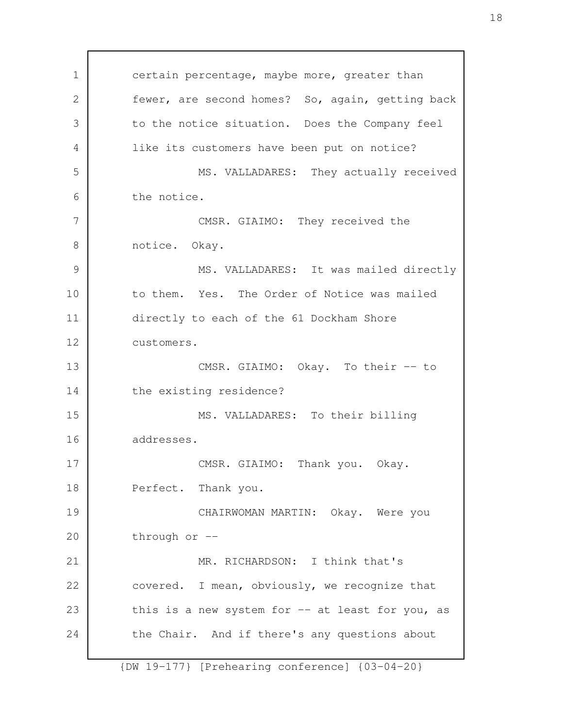certain percentage, maybe more, greater than fewer, are second homes? So, again, getting back to the notice situation. Does the Company feel like its customers have been put on notice? MS. VALLADARES: They actually received the notice. CMSR. GIAIMO: They received the notice. Okay. MS. VALLADARES: It was mailed directly to them. Yes. The Order of Notice was mailed directly to each of the 61 Dockham Shore customers. CMSR. GIAIMO: Okay. To their -- to the existing residence? MS. VALLADARES: To their billing addresses. CMSR. GIAIMO: Thank you. Okay. Perfect. Thank you. CHAIRWOMAN MARTIN: Okay. Were you through or -- MR. RICHARDSON: I think that's covered. I mean, obviously, we recognize that this is a new system for  $-$  at least for you, as the Chair. And if there's any questions about 1 2 3 4 5 6 7 8 9 10 11 12 13 14 15 16 17 18 19 20 21 22 23 24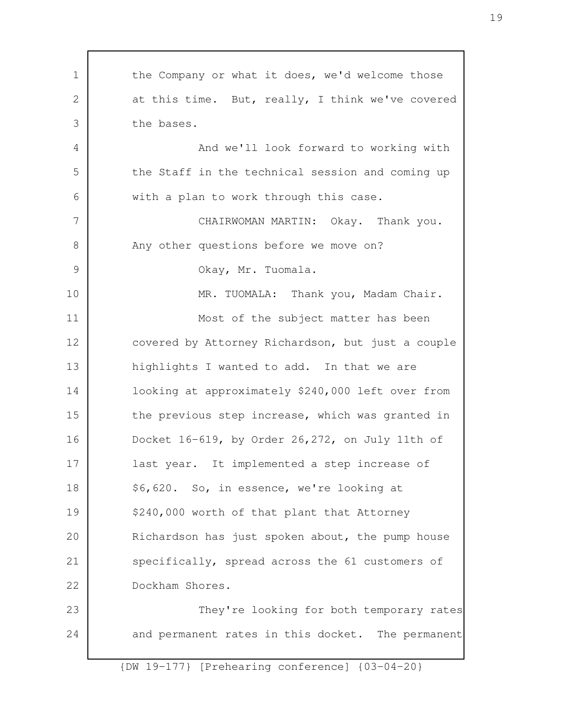the Company or what it does, we'd welcome those at this time. But, really, I think we've covered the bases. And we'll look forward to working with the Staff in the technical session and coming up with a plan to work through this case. CHAIRWOMAN MARTIN: Okay. Thank you. Any other questions before we move on? Okay, Mr. Tuomala. MR. TUOMALA: Thank you, Madam Chair. Most of the subject matter has been covered by Attorney Richardson, but just a couple highlights I wanted to add. In that we are looking at approximately \$240,000 left over from the previous step increase, which was granted in Docket 16-619, by Order 26,272, on July 11th of last year. It implemented a step increase of \$6,620. So, in essence, we're looking at \$240,000 worth of that plant that Attorney Richardson has just spoken about, the pump house specifically, spread across the 61 customers of Dockham Shores. They're looking for both temporary rates and permanent rates in this docket. The permanent 1 2 3 4 5 6 7 8 9 10 11 12 13 14 15 16 17 18 19 20 21 22 23 24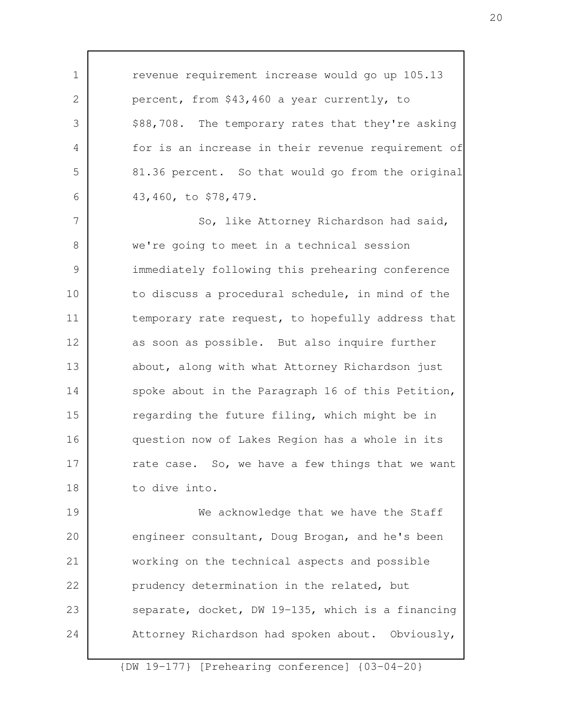revenue requirement increase would go up 105.13 percent, from \$43,460 a year currently, to \$88,708. The temporary rates that they're asking for is an increase in their revenue requirement of 81.36 percent. So that would go from the original 43,460, to \$78,479. So, like Attorney Richardson had said, we're going to meet in a technical session immediately following this prehearing conference to discuss a procedural schedule, in mind of the temporary rate request, to hopefully address that as soon as possible. But also inquire further about, along with what Attorney Richardson just spoke about in the Paragraph 16 of this Petition, regarding the future filing, which might be in question now of Lakes Region has a whole in its rate case. So, we have a few things that we want to dive into. We acknowledge that we have the Staff engineer consultant, Doug Brogan, and he's been working on the technical aspects and possible prudency determination in the related, but separate, docket, DW 19-135, which is a financing Attorney Richardson had spoken about. Obviously, 1 2 3 4 5 6 7 8 9 10 11 12 13 14 15 16 17 18 19 20 21 22 23 24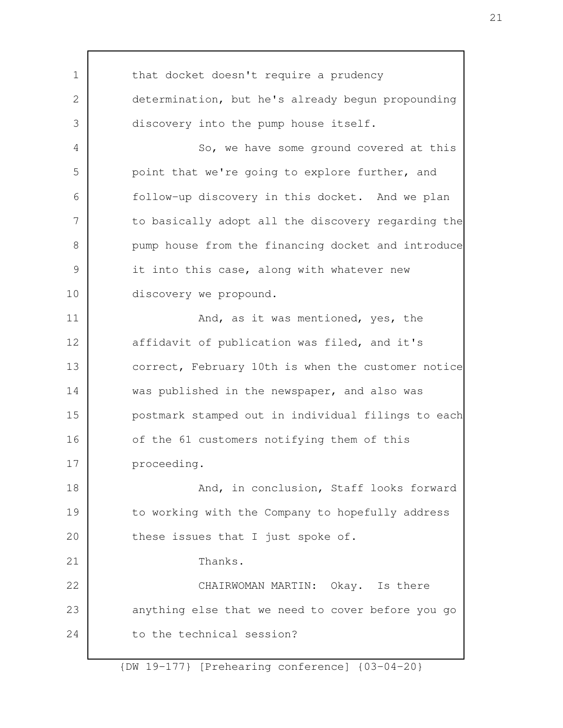that docket doesn't require a prudency determination, but he's already begun propounding discovery into the pump house itself. So, we have some ground covered at this point that we're going to explore further, and follow-up discovery in this docket. And we plan to basically adopt all the discovery regarding the pump house from the financing docket and introduce it into this case, along with whatever new discovery we propound. And, as it was mentioned, yes, the affidavit of publication was filed, and it's correct, February 10th is when the customer notice was published in the newspaper, and also was postmark stamped out in individual filings to each of the 61 customers notifying them of this proceeding. And, in conclusion, Staff looks forward to working with the Company to hopefully address these issues that I just spoke of. Thanks. CHAIRWOMAN MARTIN: Okay. Is there anything else that we need to cover before you go to the technical session? 1 2 3 4 5 6 7 8 9 10 11 12 13 14 15 16 17 18 19 20 21 22 23 24